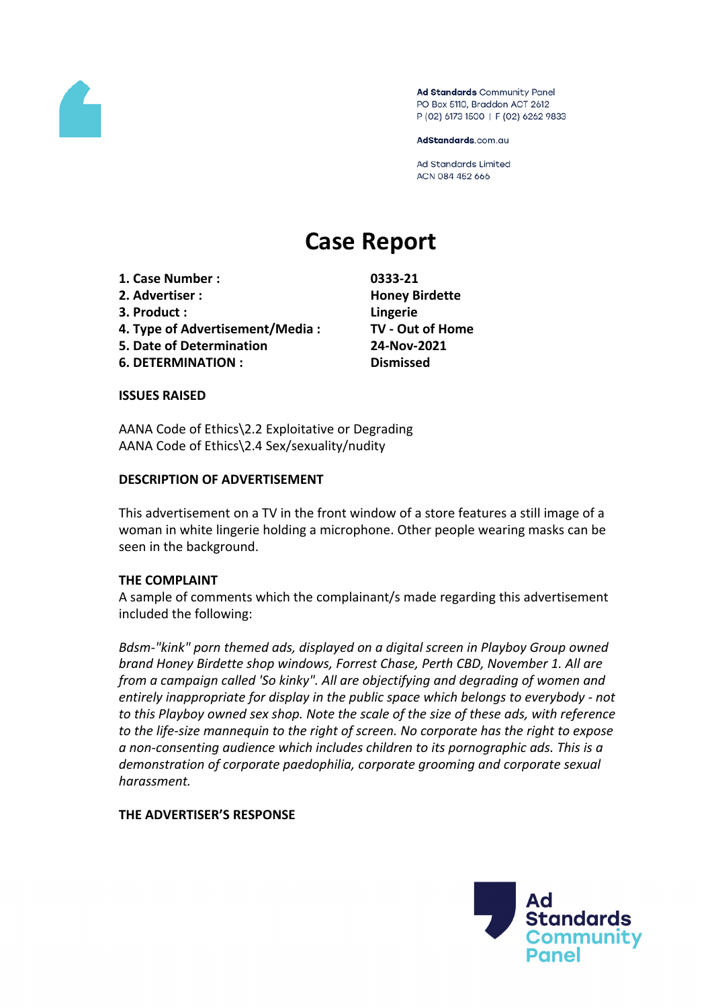

Ad Standards Community Panel PO Box 5110, Braddon ACT 2612 P (02) 6173 1500 | F (02) 6262 9833

AdStandards.com.au

**Ad Standards Limited** ACN 084 452 666

# **Case Report**

- **1. Case Number : 0333-21**
- **2. Advertiser : Honey Birdette**
- **3. Product : Lingerie**
- **4. Type of Advertisement/Media : TV - Out of Home**
- **5. Date of Determination 24-Nov-2021**
- **6. DETERMINATION : Dismissed**

## **ISSUES RAISED**

AANA Code of Ethics\2.2 Exploitative or Degrading AANA Code of Ethics\2.4 Sex/sexuality/nudity

## **DESCRIPTION OF ADVERTISEMENT**

This advertisement on a TV in the front window of a store features a still image of a woman in white lingerie holding a microphone. Other people wearing masks can be seen in the background.

## **THE COMPLAINT**

A sample of comments which the complainant/s made regarding this advertisement included the following:

*Bdsm-"kink" porn themed ads, displayed on a digital screen in Playboy Group owned brand Honey Birdette shop windows, Forrest Chase, Perth CBD, November 1. All are from a campaign called 'So kinky". All are objectifying and degrading of women and entirely inappropriate for display in the public space which belongs to everybody - not to this Playboy owned sex shop. Note the scale of the size of these ads, with reference to the life-size mannequin to the right of screen. No corporate has the right to expose a non-consenting audience which includes children to its pornographic ads. This is a demonstration of corporate paedophilia, corporate grooming and corporate sexual harassment.*

# **THE ADVERTISER'S RESPONSE**

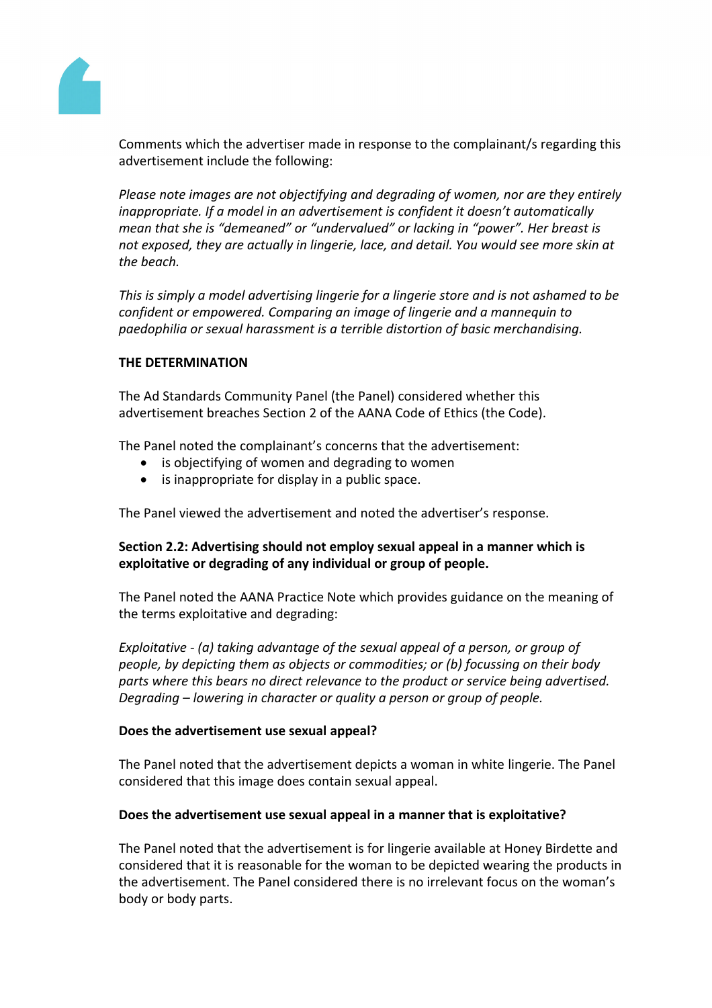

Comments which the advertiser made in response to the complainant/s regarding this advertisement include the following:

*Please note images are not objectifying and degrading of women, nor are they entirely inappropriate. If a model in an advertisement is confident it doesn't automatically mean that she is "demeaned" or "undervalued" or lacking in "power". Her breast is not exposed, they are actually in lingerie, lace, and detail. You would see more skin at the beach.*

*This is simply a model advertising lingerie for a lingerie store and is not ashamed to be confident or empowered. Comparing an image of lingerie and a mannequin to paedophilia or sexual harassment is a terrible distortion of basic merchandising.*

## **THE DETERMINATION**

The Ad Standards Community Panel (the Panel) considered whether this advertisement breaches Section 2 of the AANA Code of Ethics (the Code).

The Panel noted the complainant's concerns that the advertisement:

- is objectifying of women and degrading to women
- is inappropriate for display in a public space.

The Panel viewed the advertisement and noted the advertiser's response.

# **Section 2.2: Advertising should not employ sexual appeal in a manner which is exploitative or degrading of any individual or group of people.**

The Panel noted the AANA Practice Note which provides guidance on the meaning of the terms exploitative and degrading:

*Exploitative - (a) taking advantage of the sexual appeal of a person, or group of people, by depicting them as objects or commodities; or (b) focussing on their body parts where this bears no direct relevance to the product or service being advertised. Degrading – lowering in character or quality a person or group of people.*

## **Does the advertisement use sexual appeal?**

The Panel noted that the advertisement depicts a woman in white lingerie. The Panel considered that this image does contain sexual appeal.

## **Does the advertisement use sexual appeal in a manner that is exploitative?**

The Panel noted that the advertisement is for lingerie available at Honey Birdette and considered that it is reasonable for the woman to be depicted wearing the products in the advertisement. The Panel considered there is no irrelevant focus on the woman's body or body parts.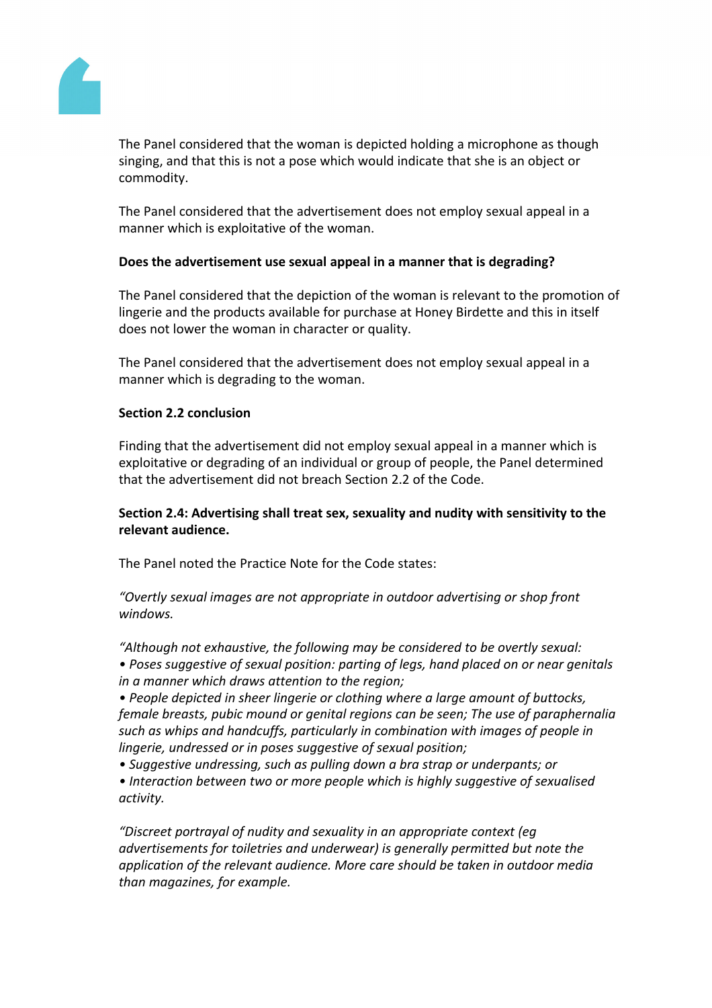

The Panel considered that the woman is depicted holding a microphone as though singing, and that this is not a pose which would indicate that she is an object or commodity.

The Panel considered that the advertisement does not employ sexual appeal in a manner which is exploitative of the woman.

## **Does the advertisement use sexual appeal in a manner that is degrading?**

The Panel considered that the depiction of the woman is relevant to the promotion of lingerie and the products available for purchase at Honey Birdette and this in itself does not lower the woman in character or quality.

The Panel considered that the advertisement does not employ sexual appeal in a manner which is degrading to the woman.

## **Section 2.2 conclusion**

Finding that the advertisement did not employ sexual appeal in a manner which is exploitative or degrading of an individual or group of people, the Panel determined that the advertisement did not breach Section 2.2 of the Code.

# **Section 2.4: Advertising shall treat sex, sexuality and nudity with sensitivity to the relevant audience.**

The Panel noted the Practice Note for the Code states:

*"Overtly sexual images are not appropriate in outdoor advertising or shop front windows.*

*"Although not exhaustive, the following may be considered to be overtly sexual:*

*• Poses suggestive of sexual position: parting of legs, hand placed on or near genitals in a manner which draws attention to the region;*

*• People depicted in sheer lingerie or clothing where a large amount of buttocks, female breasts, pubic mound or genital regions can be seen; The use of paraphernalia such as whips and handcuffs, particularly in combination with images of people in lingerie, undressed or in poses suggestive of sexual position;*

*• Suggestive undressing, such as pulling down a bra strap or underpants; or*

*• Interaction between two or more people which is highly suggestive of sexualised activity.*

*"Discreet portrayal of nudity and sexuality in an appropriate context (eg advertisements for toiletries and underwear) is generally permitted but note the application of the relevant audience. More care should be taken in outdoor media than magazines, for example.*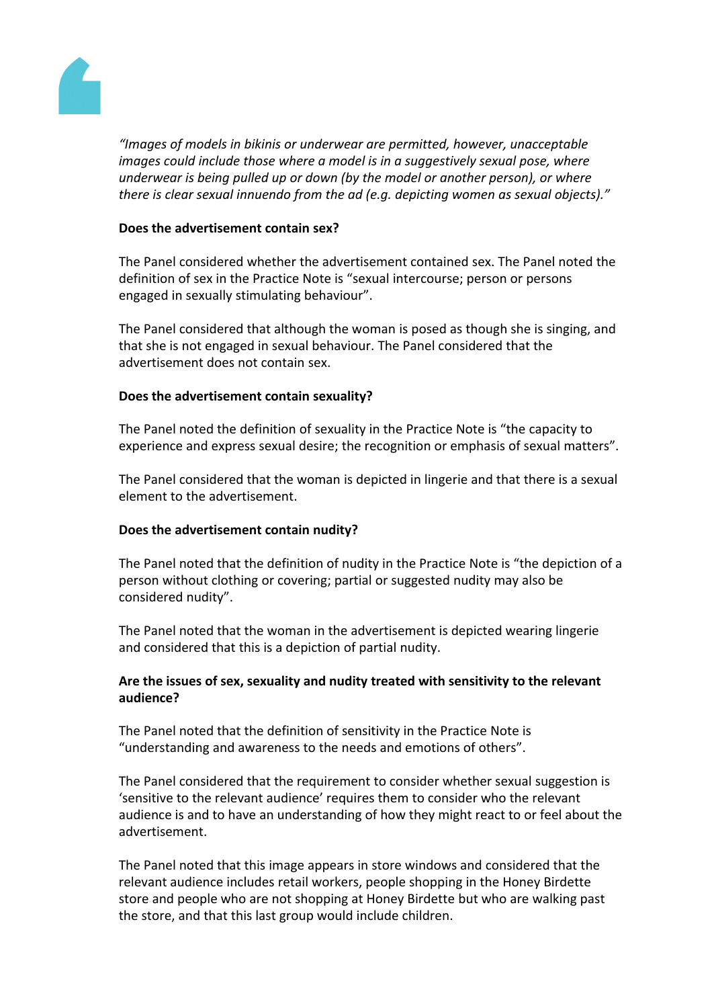

*"Images of models in bikinis or underwear are permitted, however, unacceptable images could include those where a model is in a suggestively sexual pose, where underwear is being pulled up or down (by the model or another person), or where there is clear sexual innuendo from the ad (e.g. depicting women as sexual objects)."*

## **Does the advertisement contain sex?**

The Panel considered whether the advertisement contained sex. The Panel noted the definition of sex in the Practice Note is "sexual intercourse; person or persons engaged in sexually stimulating behaviour".

The Panel considered that although the woman is posed as though she is singing, and that she is not engaged in sexual behaviour. The Panel considered that the advertisement does not contain sex.

## **Does the advertisement contain sexuality?**

The Panel noted the definition of sexuality in the Practice Note is "the capacity to experience and express sexual desire; the recognition or emphasis of sexual matters".

The Panel considered that the woman is depicted in lingerie and that there is a sexual element to the advertisement.

## **Does the advertisement contain nudity?**

The Panel noted that the definition of nudity in the Practice Note is "the depiction of a person without clothing or covering; partial or suggested nudity may also be considered nudity".

The Panel noted that the woman in the advertisement is depicted wearing lingerie and considered that this is a depiction of partial nudity.

## **Are the issues of sex, sexuality and nudity treated with sensitivity to the relevant audience?**

The Panel noted that the definition of sensitivity in the Practice Note is "understanding and awareness to the needs and emotions of others".

The Panel considered that the requirement to consider whether sexual suggestion is 'sensitive to the relevant audience' requires them to consider who the relevant audience is and to have an understanding of how they might react to or feel about the advertisement.

The Panel noted that this image appears in store windows and considered that the relevant audience includes retail workers, people shopping in the Honey Birdette store and people who are not shopping at Honey Birdette but who are walking past the store, and that this last group would include children.